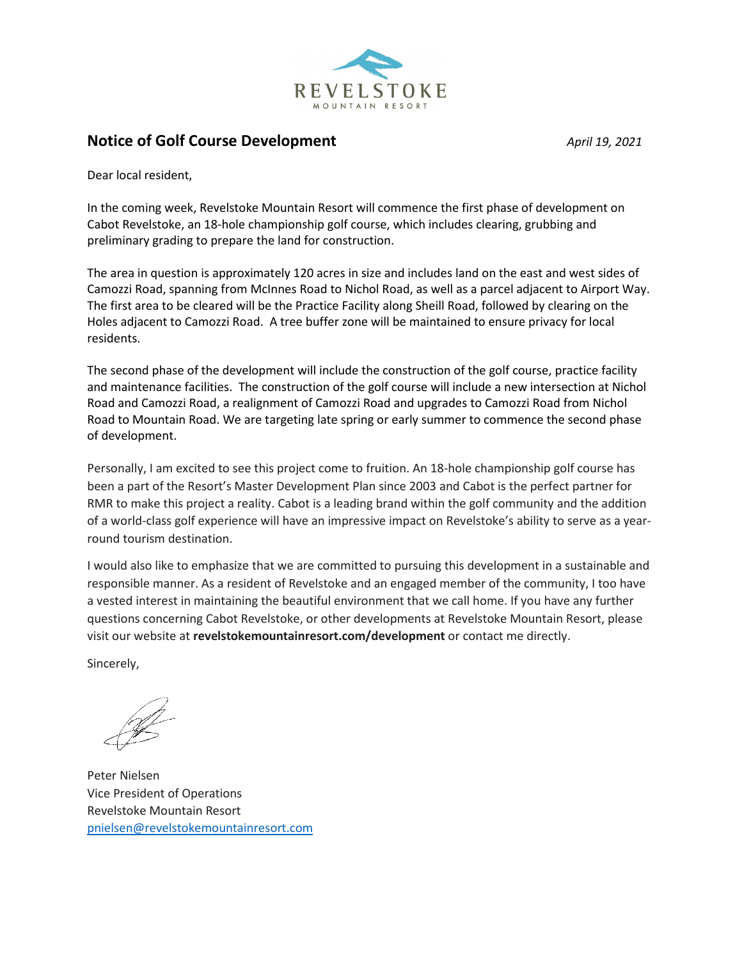

## **Notice of Golf Course Development** *April 19, 2021*

Dear local resident,

In the coming week, Revelstoke Mountain Resort will commence the first phase of development on Cabot Revelstoke, an 18-hole championship golf course, which includes clearing, grubbing and preliminary grading to prepare the land for construction.

The area in question is approximately 120 acres in size and includes land on the east and west sides of Camozzi Road, spanning from McInnes Road to Nichol Road, as well as a parcel adjacent to Airport Way. The first area to be cleared will be the Practice Facility along Sheill Road, followed by clearing on the Holes adjacent to Camozzi Road. A tree buffer zone will be maintained to ensure privacy for local residents.

The second phase of the development will include the construction of the golf course, practice facility and maintenance facilities. The construction of the golf course will include a new intersection at Nichol Road and Camozzi Road, a realignment of Camozzi Road and upgrades to Camozzi Road from Nichol Road to Mountain Road. We are targeting late spring or early summer to commence the second phase of development.

Personally, I am excited to see this project come to fruition. An 18-hole championship golf course has been a part of the Resort's Master Development Plan since 2003 and Cabot is the perfect partner for RMR to make this project a reality. Cabot is a leading brand within the golf community and the addition of a world-class golf experience will have an impressive impact on Revelstoke's ability to serve as a yearround tourism destination.

I would also like to emphasize that we are committed to pursuing this development in a sustainable and responsible manner. As a resident of Revelstoke and an engaged member of the community, I too have a vested interest in maintaining the beautiful environment that we call home. If you have any further questions concerning Cabot Revelstoke, or other developments at Revelstoke Mountain Resort, please visit our website at **revelstokemountainresort.com/development** or contact me directly.

Sincerely,

Peter Nielsen Vice President of Operations Revelstoke Mountain Resort [pnielsen@revelstokemountainresort.com](mailto:pnielsen@revelstokemountainresort.com)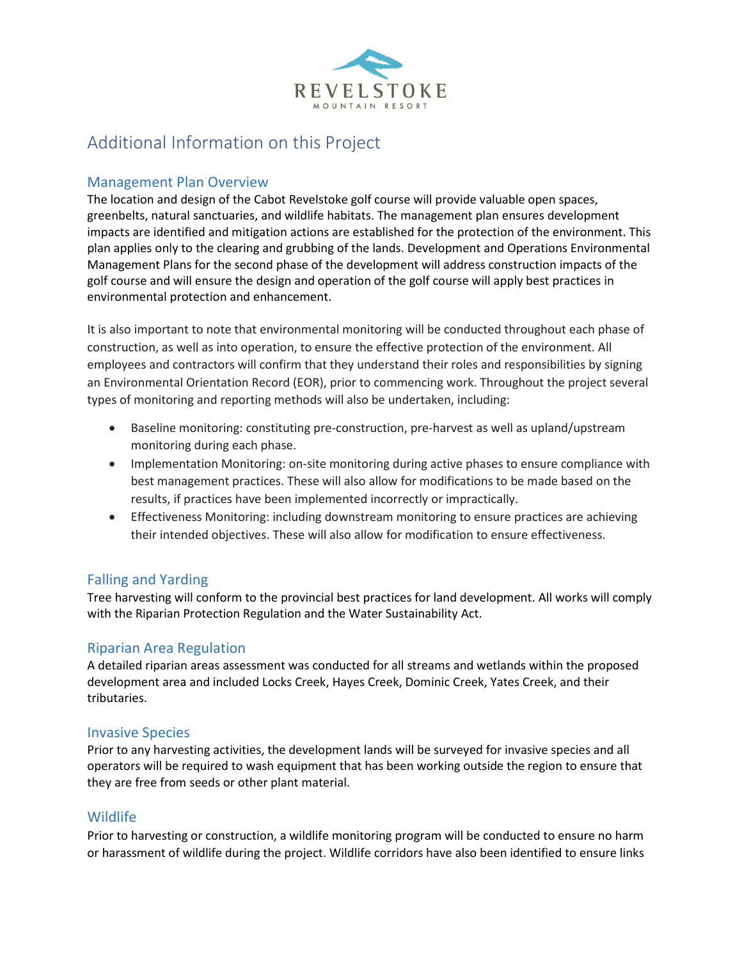

# Additional Information on this Project

#### Management Plan Overview

The location and design of the Cabot Revelstoke golf course will provide valuable open spaces, greenbelts, natural sanctuaries, and wildlife habitats. The management plan ensures development impacts are identified and mitigation actions are established for the protection of the environment. This plan applies only to the clearing and grubbing of the lands. Development and Operations Environmental Management Plans for the second phase of the development will address construction impacts of the golf course and will ensure the design and operation of the golf course will apply best practices in environmental protection and enhancement.

It is also important to note that environmental monitoring will be conducted throughout each phase of construction, as well as into operation, to ensure the effective protection of the environment. All employees and contractors will confirm that they understand their roles and responsibilities by signing an Environmental Orientation Record (EOR), prior to commencing work. Throughout the project several types of monitoring and reporting methods will also be undertaken, including:

- Baseline monitoring: constituting pre-construction, pre-harvest as well as upland/upstream monitoring during each phase.
- Implementation Monitoring: on-site monitoring during active phases to ensure compliance with best management practices. These will also allow for modifications to be made based on the results, if practices have been implemented incorrectly or impractically.
- Effectiveness Monitoring: including downstream monitoring to ensure practices are achieving their intended objectives. These will also allow for modification to ensure effectiveness.

## Falling and Yarding

Tree harvesting will conform to the provincial best practices for land development. All works will comply with the Riparian Protection Regulation and the Water Sustainability Act.

## Riparian Area Regulation

A detailed riparian areas assessment was conducted for all streams and wetlands within the proposed development area and included Locks Creek, Hayes Creek, Dominic Creek, Yates Creek, and their tributaries.

#### Invasive Species

Prior to any harvesting activities, the development lands will be surveyed for invasive species and all operators will be required to wash equipment that has been working outside the region to ensure that they are free from seeds or other plant material.

## Wildlife

Prior to harvesting or construction, a wildlife monitoring program will be conducted to ensure no harm or harassment of wildlife during the project. Wildlife corridors have also been identified to ensure links